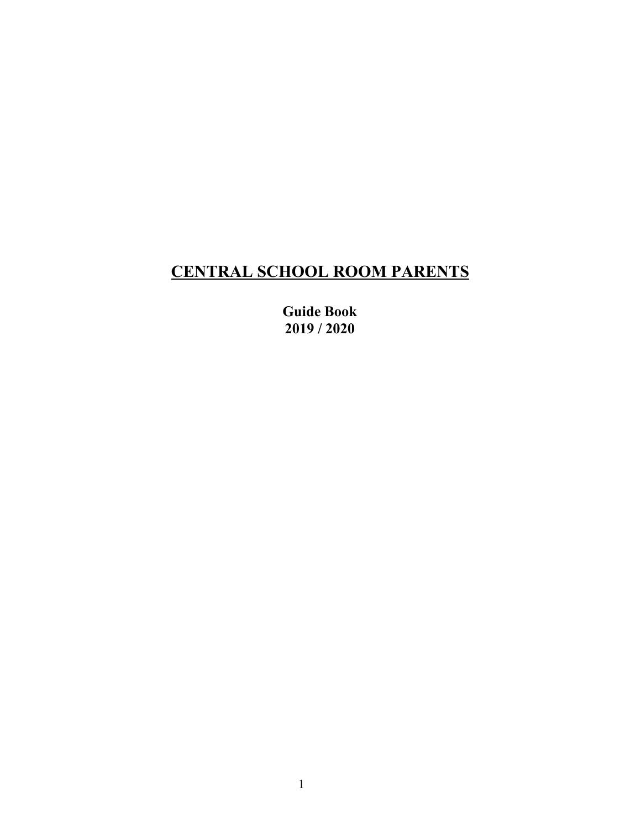# **CENTRAL SCHOOL ROOM PARENTS**

**Guide Book 2019 / 2020**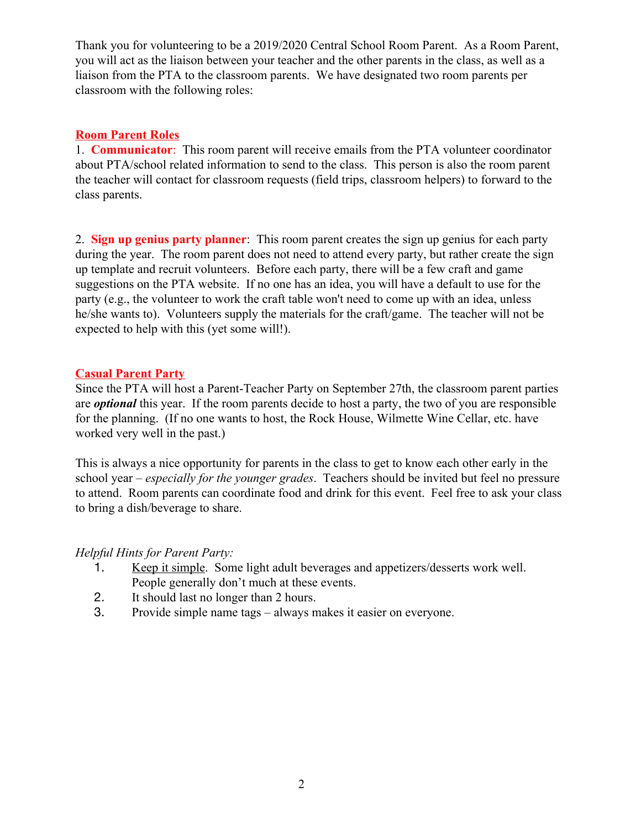Thank you for volunteering to be a 2019/2020 Central School Room Parent. As a Room Parent, you will act as the liaison between your teacher and the other parents in the class, as well as a liaison from the PTA to the classroom parents. We have designated two room parents per classroom with the following roles:

#### **Room Parent Roles**

1. **Communicator**: This room parent will receive emails from the PTA volunteer coordinator about PTA/school related information to send to the class. This person is also the room parent the teacher will contact for classroom requests (field trips, classroom helpers) to forward to the class parents.

2. **Sign up genius party planner**: This room parent creates the sign up genius for each party during the year. The room parent does not need to attend every party, but rather create the sign up template and recruit volunteers. Before each party, there will be a few craft and game suggestions on the PTA website. If no one has an idea, you will have a default to use for the party (e.g., the volunteer to work the craft table won't need to come up with an idea, unless he/she wants to). Volunteers supply the materials for the craft/game. The teacher will not be expected to help with this (yet some will!).

#### **Casual Parent Party**

Since the PTA will host a Parent-Teacher Party on September 27th, the classroom parent parties are *optional* this year. If the room parents decide to host a party, the two of you are responsible for the planning.(If no one wants to host, the Rock House, Wilmette Wine Cellar, etc. have worked very well in the past.)

This is always a nice opportunity for parents in the class to get to know each other early in the school year – *especially for the younger grades*. Teachers should be invited but feel no pressure to attend. Room parents can coordinate food and drink for this event. Feel free to ask your class to bring a dish/beverage to share.

## *Helpful Hints for Parent Party:*

- 1. Keep it simple. Some light adult beverages and appetizers/desserts work well. People generally don't much at these events.
- 2. It should last no longer than 2 hours.
- 3. Provide simple name tags always makes it easier on everyone.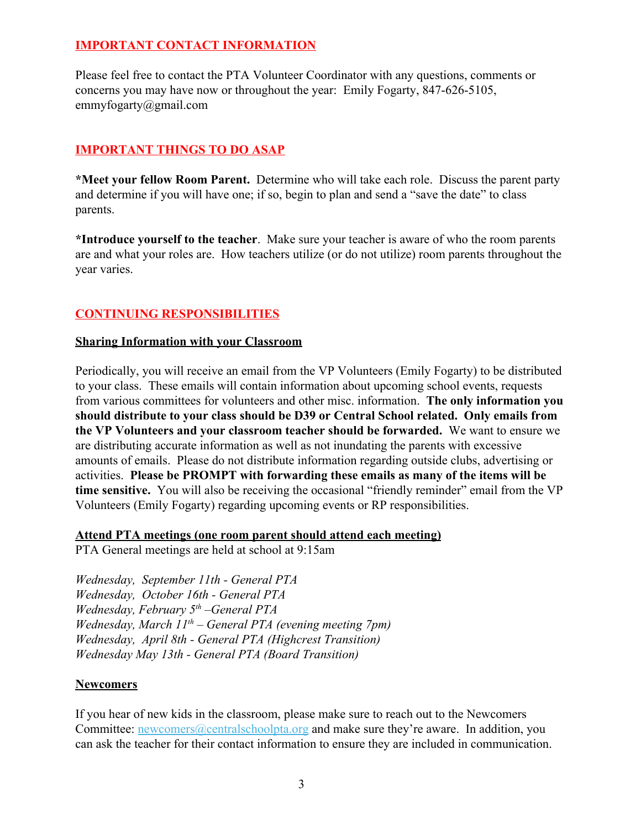# **IMPORTANT CONTACT INFORMATION**

Please feel free to contact the PTA Volunteer Coordinator with any questions, comments or concerns you may have now or throughout the year: Emily Fogarty, 847-626-5105, emmyfogarty@gmail.com

# **IMPORTANT THINGS TO DO ASAP**

**\*Meet your fellow Room Parent.** Determine who will take each role. Discuss the parent party and determine if you will have one; if so, begin to plan and send a "save the date" to class parents.

**\*Introduce yourself to the teacher**. Make sure your teacher is aware of who the room parents are and what your roles are. How teachers utilize (or do not utilize) room parents throughout the year varies.

# **CONTINUING RESPONSIBILITIES**

#### **Sharing Information with your Classroom**

Periodically, you will receive an email from the VP Volunteers (Emily Fogarty) to be distributed to your class. These emails will contain information about upcoming school events, requests from various committees for volunteers and other misc. information. **The only information you should distribute to your class should be D39 or Central School related. Only emails from the VP Volunteers and your classroom teacher should be forwarded.** We want to ensure we are distributing accurate information as well as not inundating the parents with excessive amounts of emails. Please do not distribute information regarding outside clubs, advertising or activities. **Please be PROMPT with forwarding these emails as many of the items will be time sensitive.** You will also be receiving the occasional "friendly reminder" email from the VP Volunteers (Emily Fogarty) regarding upcoming events or RP responsibilities.

#### **Attend PTA meetings (one room parent should attend each meeting)**

PTA General meetings are held at school at 9:15am

*Wednesday, September 11th - General PTA Wednesday, October 16th - General PTA Wednesday, February 5th –General PTA Wednesday, March 11th – General PTA (evening meeting 7pm) Wednesday, April 8th - General PTA (Highcrest Transition) Wednesday May 13th - General PTA (Board Transition)*

## **Newcomers**

If you hear of new kids in the classroom, please make sure to reach out to the Newcomers Committee: [newcomers@centralschoolpta.org](mailto:newcomers@centralschoolpta.org) and make sure they're aware. In addition, you can ask the teacher for their contact information to ensure they are included in communication.